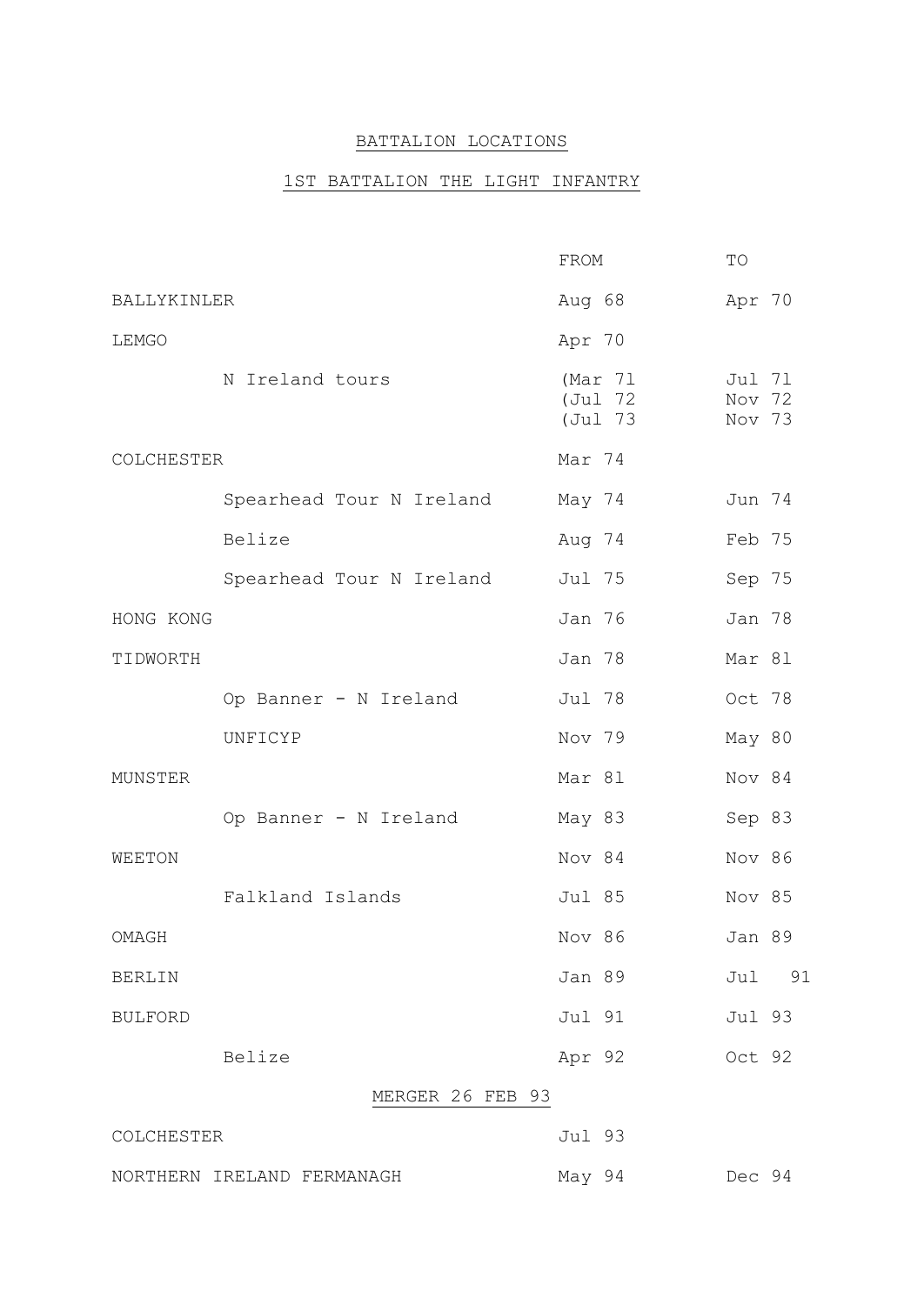### BATTALION LOCATIONS

### 1ST BATTALION THE LIGHT INFANTRY

|                |                            | FROM                           | TO                         |
|----------------|----------------------------|--------------------------------|----------------------------|
| BALLYKINLER    |                            | Aug 68                         | Apr 70                     |
| LEMGO          |                            | Apr 70                         |                            |
|                | N Ireland tours            | (Mar 71)<br>(Jul 72<br>(Jul 73 | Jul 71<br>Nov 72<br>Nov 73 |
| COLCHESTER     |                            | Mar 74                         |                            |
|                | Spearhead Tour N Ireland   | May 74                         | Jun 74                     |
|                | Belize                     | Aug 74                         | Feb 75                     |
|                | Spearhead Tour N Ireland   | Jul 75                         | Sep 75                     |
| HONG KONG      |                            | Jan 76                         | Jan 78                     |
| TIDWORTH       |                            | Jan 78                         | Mar 81                     |
|                | Op Banner - N Ireland      | Jul 78                         | Oct 78                     |
|                | UNFICYP                    | Nov 79                         | May 80                     |
| MUNSTER        |                            | Mar 81                         | Nov 84                     |
|                | Op Banner - N Ireland      | May 83                         | Sep 83                     |
| WEETON         |                            | Nov 84                         | Nov 86                     |
|                | Falkland Islands           | Jul 85                         | Nov 85                     |
| OMAGH          |                            | Nov 86                         | Jan 89                     |
| <b>BERLIN</b>  |                            | Jan 89                         | 91<br>Jul                  |
| <b>BULFORD</b> |                            | Jul 91                         | Jul 93                     |
|                | Belize                     | Apr 92                         | Oct 92                     |
|                | MERGER 26 FEB 93           |                                |                            |
| COLCHESTER     |                            | Jul 93                         |                            |
|                | NORTHERN IRELAND FERMANAGH | May 94                         | Dec 94                     |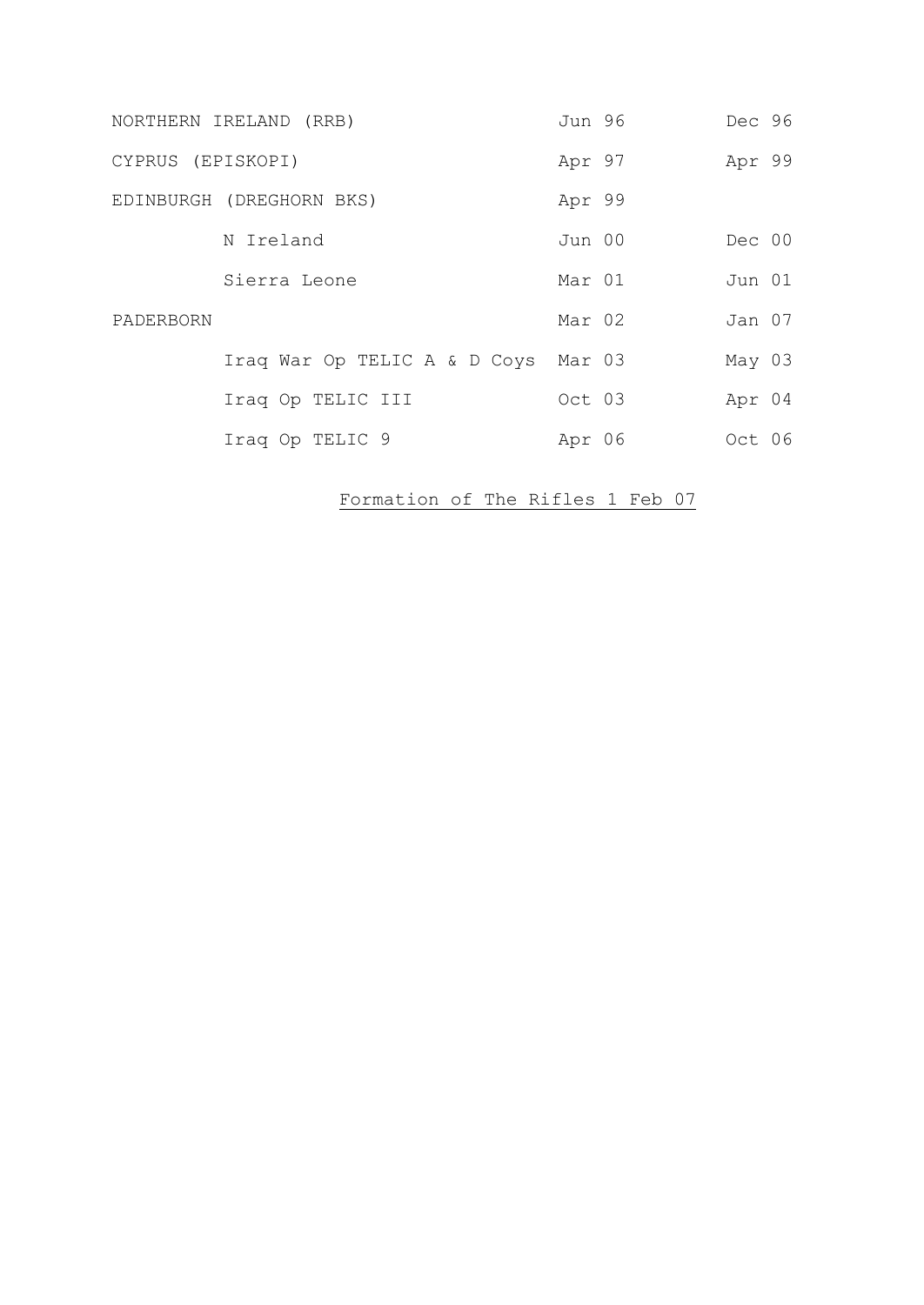|                   | NORTHERN IRELAND (RRB)              | Jun 96 | Dec 96 |  |
|-------------------|-------------------------------------|--------|--------|--|
| CYPRUS (EPISKOPI) |                                     | Apr 97 | Apr 99 |  |
|                   | EDINBURGH (DREGHORN BKS)            | Apr 99 |        |  |
|                   | N Ireland                           | Jun 00 | Dec 00 |  |
|                   | Sierra Leone                        | Mar 01 | Jun 01 |  |
| PADERBORN         |                                     | Mar 02 | Jan 07 |  |
|                   | Iraq War Op TELIC A & D Coys Mar 03 |        | May 03 |  |
|                   | Iraq Op TELIC III                   | Oct 03 | Apr 04 |  |
|                   | Iraq Op TELIC 9                     | Apr 06 | Oct 06 |  |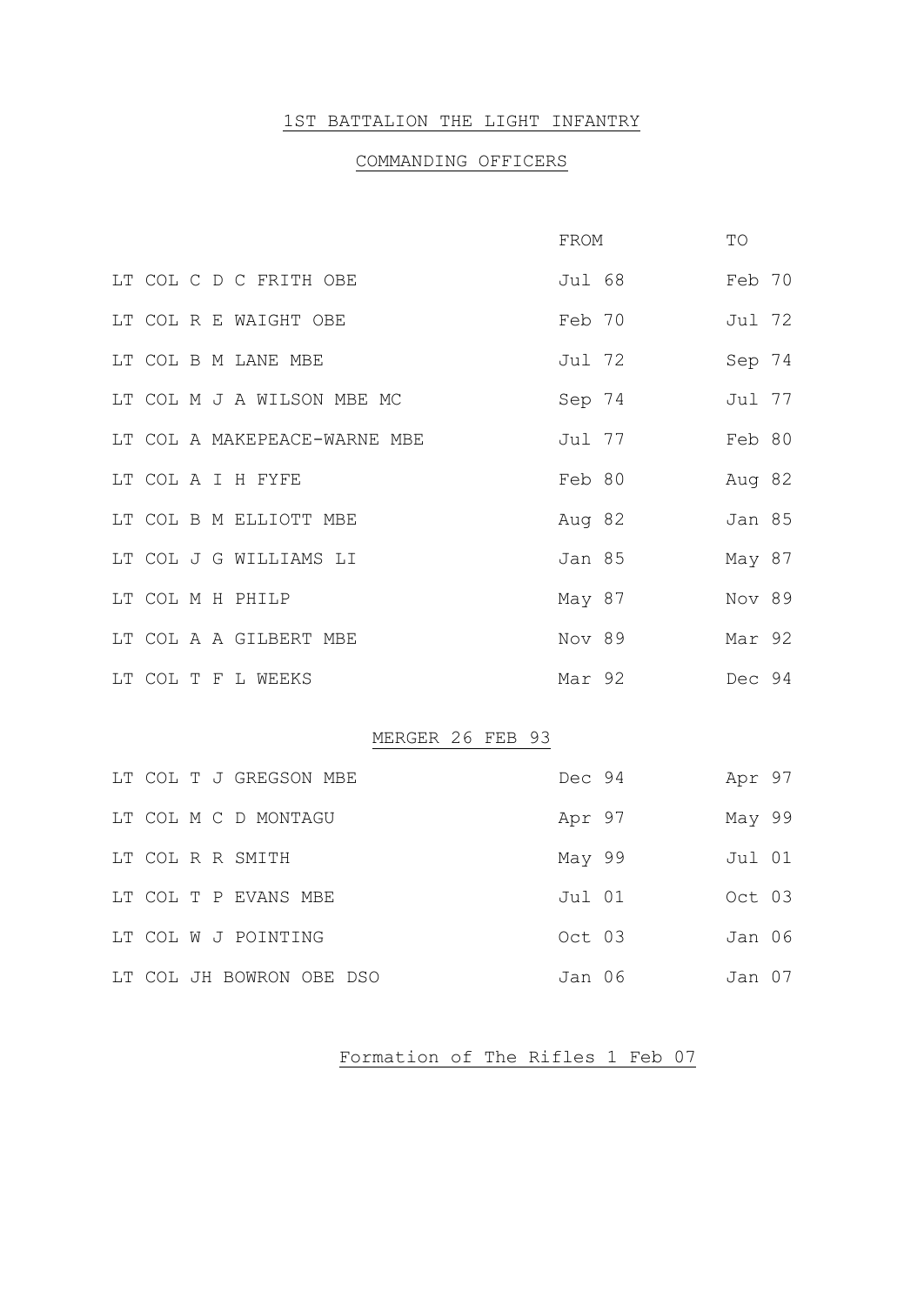### 1ST BATTALION THE LIGHT INFANTRY

# COMMANDING OFFICERS

|  |                              | FROM   |        | TO            |  |
|--|------------------------------|--------|--------|---------------|--|
|  | LT COL C D C FRITH OBE       |        | Jul 68 | Feb 70        |  |
|  | LT COL R E WAIGHT OBE        | Feb 70 |        | Jul 72        |  |
|  | LT COL B M LANE MBE          | Jul 72 |        | Sep 74        |  |
|  | LT COL M J A WILSON MBE MC   | Sep 74 |        | Jul 77        |  |
|  | LT COL A MAKEPEACE-WARNE MBE | Jul 77 |        | Feb 80        |  |
|  | LT COL A I H FYFE            | Feb 80 |        | Aug 82        |  |
|  | LT COL B M ELLIOTT MBE       | Aug 82 |        | <b>Jan 85</b> |  |
|  | LT COL J G WILLIAMS LI       | Jan 85 |        | May 87        |  |
|  | LT COL M H PHILP             | May 87 |        | Nov 89        |  |
|  | LT COL A A GILBERT MBE       | Nov 89 |        | Mar 92        |  |
|  | LT COL T F L WEEKS           | Mar 92 |        | Dec 94        |  |
|  |                              |        |        |               |  |

### MERGER 26 FEB 93

|  | LT COL T J GREGSON MBE   | Dec 94 | Apr 97 |  |
|--|--------------------------|--------|--------|--|
|  | LT COL M C D MONTAGU     | Apr 97 | May 99 |  |
|  | LT COL R R SMITH         | May 99 | Jul 01 |  |
|  | LT COL T P EVANS MBE     | Jul 01 | Oct 03 |  |
|  | LT COL W J POINTING      | Oct 03 | Jan 06 |  |
|  | LT COL JH BOWRON OBE DSO | Jan 06 | Jan 07 |  |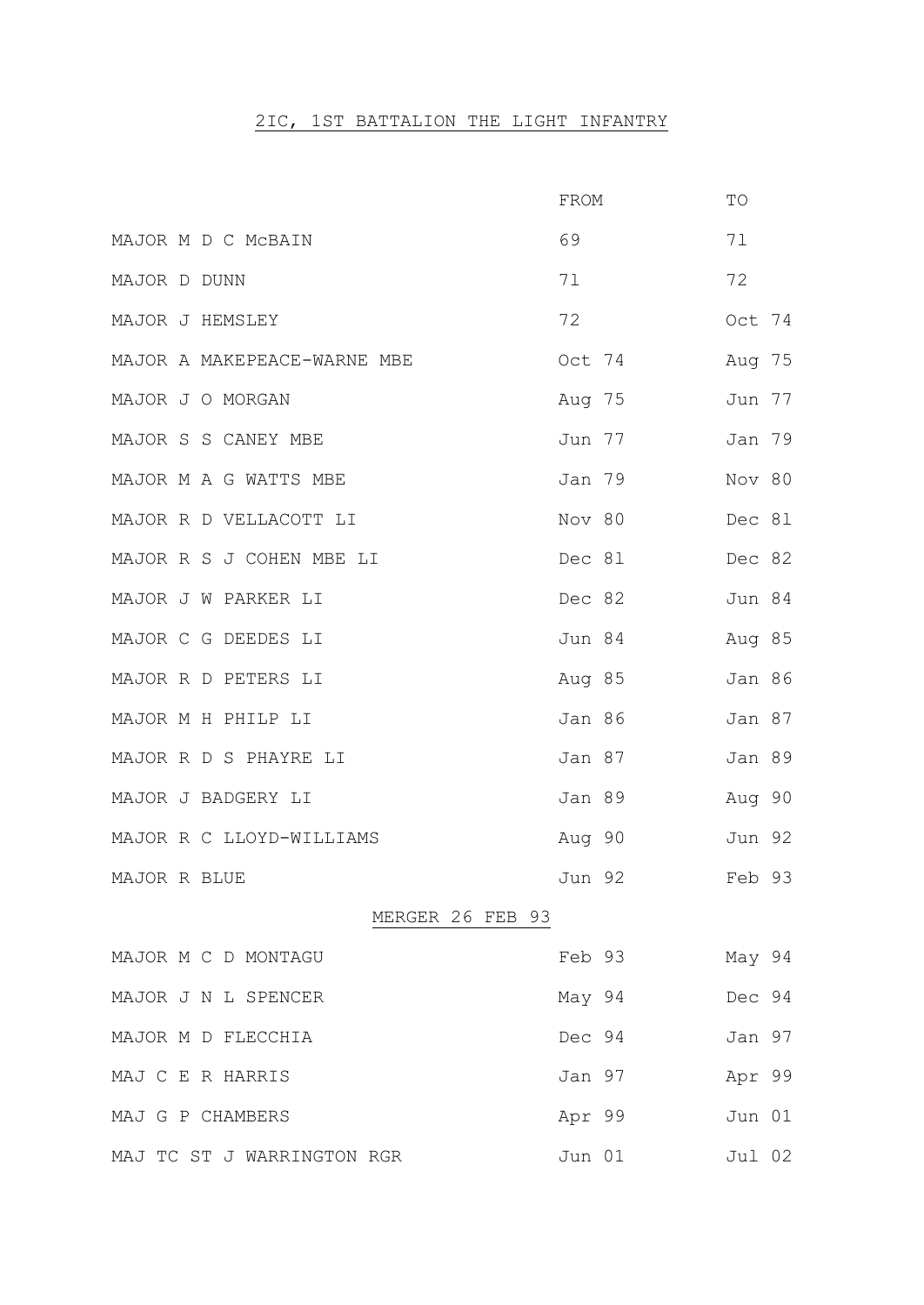# 2IC, 1ST BATTALION THE LIGHT INFANTRY

|                             | FROM   | TO            |
|-----------------------------|--------|---------------|
| MAJOR M D C MCBAIN          | 69     | 71            |
| MAJOR D DUNN                | 71     | 72            |
| MAJOR J HEMSLEY             | 72     | Oct 74        |
| MAJOR A MAKEPEACE-WARNE MBE | Oct 74 | Aug 75        |
| MAJOR J O MORGAN            | Aug 75 | Jun 77        |
| MAJOR S S CANEY MBE         | Jun 77 | Jan 79        |
| MAJOR M A G WATTS MBE       | Jan 79 | Nov 80        |
| MAJOR R D VELLACOTT LI      | Nov 80 | Dec 81        |
| MAJOR R S J COHEN MBE LI    | Dec 81 | Dec 82        |
| MAJOR J W PARKER LI         | Dec 82 | Jun 84        |
| MAJOR C G DEEDES LI         | Jun 84 | Aug 85        |
| MAJOR R D PETERS LI         | Aug 85 | <b>Jan 86</b> |
| MAJOR M H PHILP LI          | Jan 86 | Jan 87        |
| MAJOR R D S PHAYRE LI       | Jan 87 | Jan 89        |
| MAJOR J BADGERY LI          | Jan 89 | Aug 90        |
| MAJOR R C LLOYD-WILLIAMS    | Aug 90 | Jun 92        |
| MAJOR R BLUE                | Jun 92 | Feb 93        |
| MERGER 26 FEB 93            |        |               |
| MAJOR M C D MONTAGU         | Feb 93 | May 94        |
| MAJOR J N L SPENCER         | May 94 | Dec 94        |
| MAJOR M D FLECCHIA          | Dec 94 | Jan 97        |
| MAJ C E R HARRIS            | Jan 97 | Apr 99        |
| MAJ G P CHAMBERS            | Apr 99 | Jun 01        |
| MAJ TC ST J WARRINGTON RGR  | Jun 01 | Jul 02        |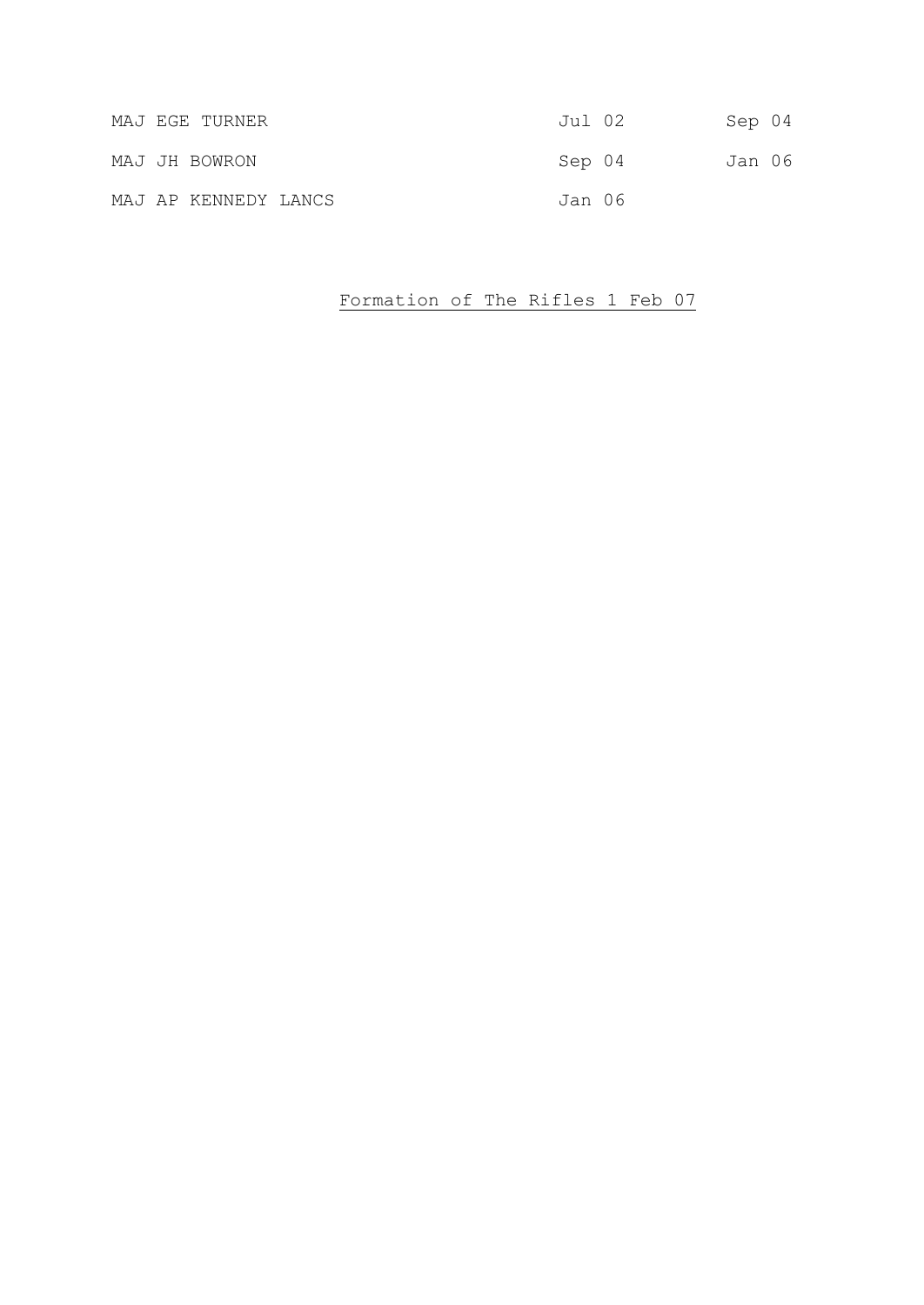| MAJ EGE TURNER       | Jul 02 | Sep 04 |  |
|----------------------|--------|--------|--|
| MAJ JH BOWRON        | Sep 04 | Jan 06 |  |
| MAJ AP KENNEDY LANCS | Jan 06 |        |  |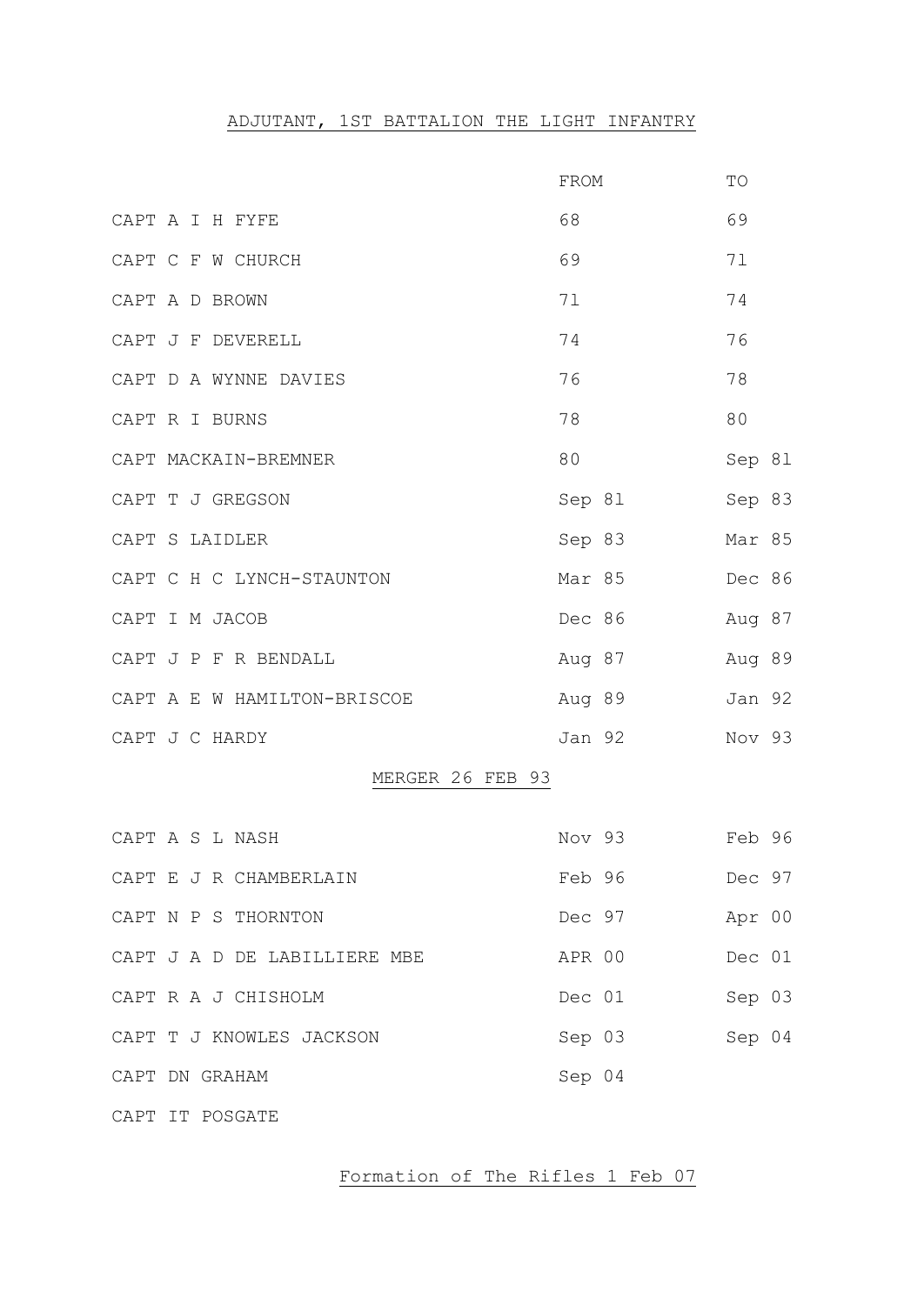# ADJUTANT, 1ST BATTALION THE LIGHT INFANTRY

|                              | FROM   | TO     |
|------------------------------|--------|--------|
| CAPT A I H FYFE              | 68     | 69     |
| CAPT C F W CHURCH            | 69     | 71     |
| CAPT A D BROWN               | 71     | 74     |
| CAPT J F DEVERELL            | 74     | 76     |
| CAPT D A WYNNE DAVIES        | 76     | 78     |
| CAPT R I BURNS               | 78     | 80     |
| CAPT MACKAIN-BREMNER         | 80     | Sep 81 |
| CAPT T J GREGSON             | Sep 81 | Sep 83 |
| CAPT S LAIDLER               | Sep 83 | Mar 85 |
| CAPT C H C LYNCH-STAUNTON    | Mar 85 | Dec 86 |
| CAPT I M JACOB               | Dec 86 | Aug 87 |
| CAPT J P F R BENDALL         | Aug 87 | Aug 89 |
| CAPT A E W HAMILTON-BRISCOE  | Aug 89 | Jan 92 |
| CAPT J C HARDY               | Jan 92 | Nov 93 |
| MERGER 26 FEB 93             |        |        |
| CAPT A S L NASH              | Nov 93 | Feb 96 |
| CAPT E J R CHAMBERLAIN       | Feb 96 | Dec 97 |
| CAPT N P S THORNTON          | Dec 97 | Apr 00 |
| CAPT J A D DE LABILLIERE MBE | APR 00 | Dec 01 |
| CAPT R A J CHISHOLM          | Dec 01 | Sep 03 |
| CAPT T J KNOWLES JACKSON     | Sep 03 | Sep 04 |
| CAPT DN GRAHAM               | Sep 04 |        |
| CAPT IT POSGATE              |        |        |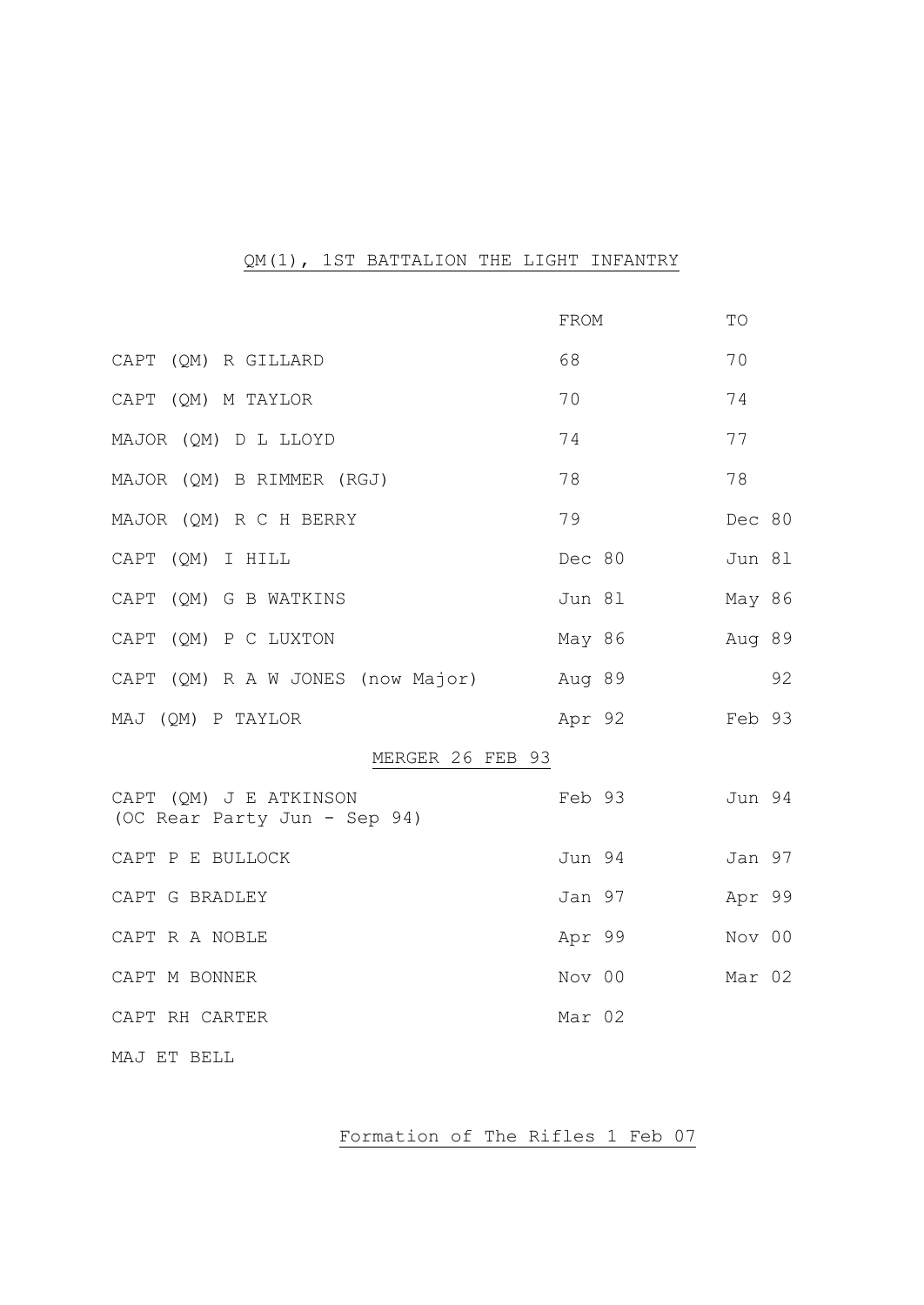### QM(1), 1ST BATTALION THE LIGHT INFANTRY

|                                                        | FROM   | TO     |
|--------------------------------------------------------|--------|--------|
| CAPT (QM) R GILLARD                                    | 68     | 70     |
| CAPT (QM) M TAYLOR                                     | 70     | 74     |
| MAJOR (QM) D L LLOYD                                   | 74     | 77     |
| MAJOR (QM) B RIMMER (RGJ)                              | 78     | 78     |
| MAJOR (QM) R C H BERRY                                 | 79     | Dec 80 |
| CAPT (QM) I HILL                                       | Dec 80 | Jun 81 |
| CAPT (QM) G B WATKINS                                  | Jun 81 | May 86 |
| CAPT (QM) P C LUXTON                                   | May 86 | Aug 89 |
| CAPT (QM) R A W JONES (now Major)                      | Aug 89 | 92     |
| MAJ (QM) P TAYLOR                                      | Apr 92 | Feb 93 |
| MERGER 26 FEB 93                                       |        |        |
| CAPT (OM) J E ATKINSON<br>(OC Rear Party Jun - Sep 94) | Feb 93 | Jun 94 |
| CAPT P E BULLOCK                                       | Jun 94 | Jan 97 |
| CAPT G BRADLEY                                         | Jan 97 | Apr 99 |
| CAPT R A NOBLE                                         | Apr 99 | Nov 00 |
| CAPT M BONNER                                          | Nov 00 | Mar 02 |
| CAPT RH CARTER                                         | Mar 02 |        |
| MAJ ET BELL                                            |        |        |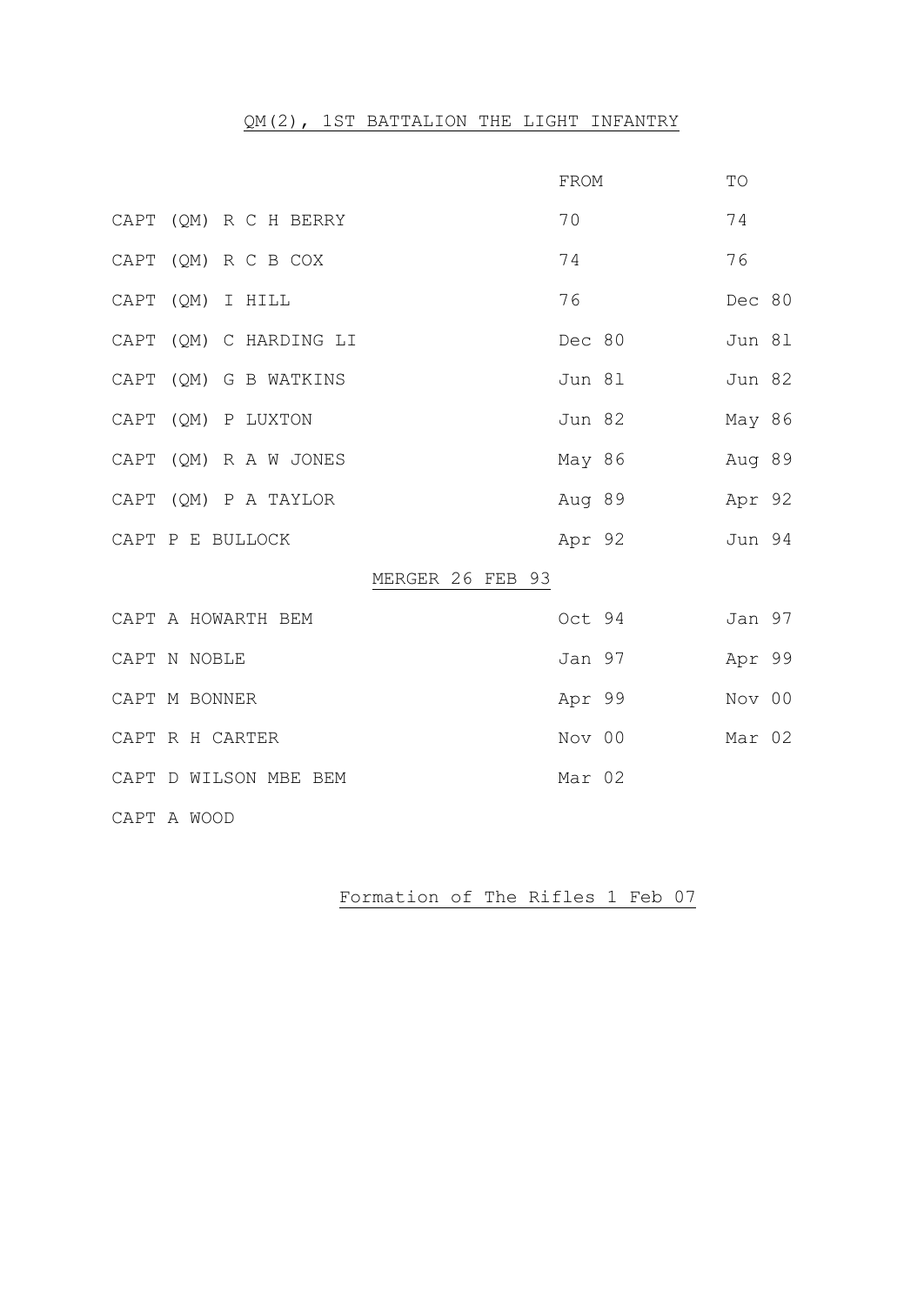# QM(2), 1ST BATTALION THE LIGHT INFANTRY

|      |                        | FROM   | TO     |
|------|------------------------|--------|--------|
|      | CAPT (QM) R C H BERRY  | 70     | 74     |
|      | CAPT (QM) R C B COX    | 74     | 76     |
|      | CAPT (QM) I HILL       | 76     | Dec 80 |
|      | CAPT (QM) C HARDING LI | Dec 80 | Jun 81 |
|      | CAPT (QM) G B WATKINS  | Jun 81 | Jun 82 |
| CAPT | (QM) P LUXTON          | Jun 82 | May 86 |
|      | CAPT (QM) R A W JONES  | May 86 | Aug 89 |
|      | CAPT (QM) P A TAYLOR   | Aug 89 | Apr 92 |
|      | CAPT P E BULLOCK       | Apr 92 | Jun 94 |
|      | MERGER 26 FEB 93       |        |        |
|      | CAPT A HOWARTH BEM     | Oct 94 | Jan 97 |
|      | CAPT N NOBLE           | Jan 97 | Apr 99 |
|      | CAPT M BONNER          | Apr 99 | Nov 00 |
|      | CAPT R H CARTER        | Nov 00 | Mar 02 |
|      | CAPT D WILSON MBE BEM  | Mar 02 |        |
|      | CAPT A WOOD            |        |        |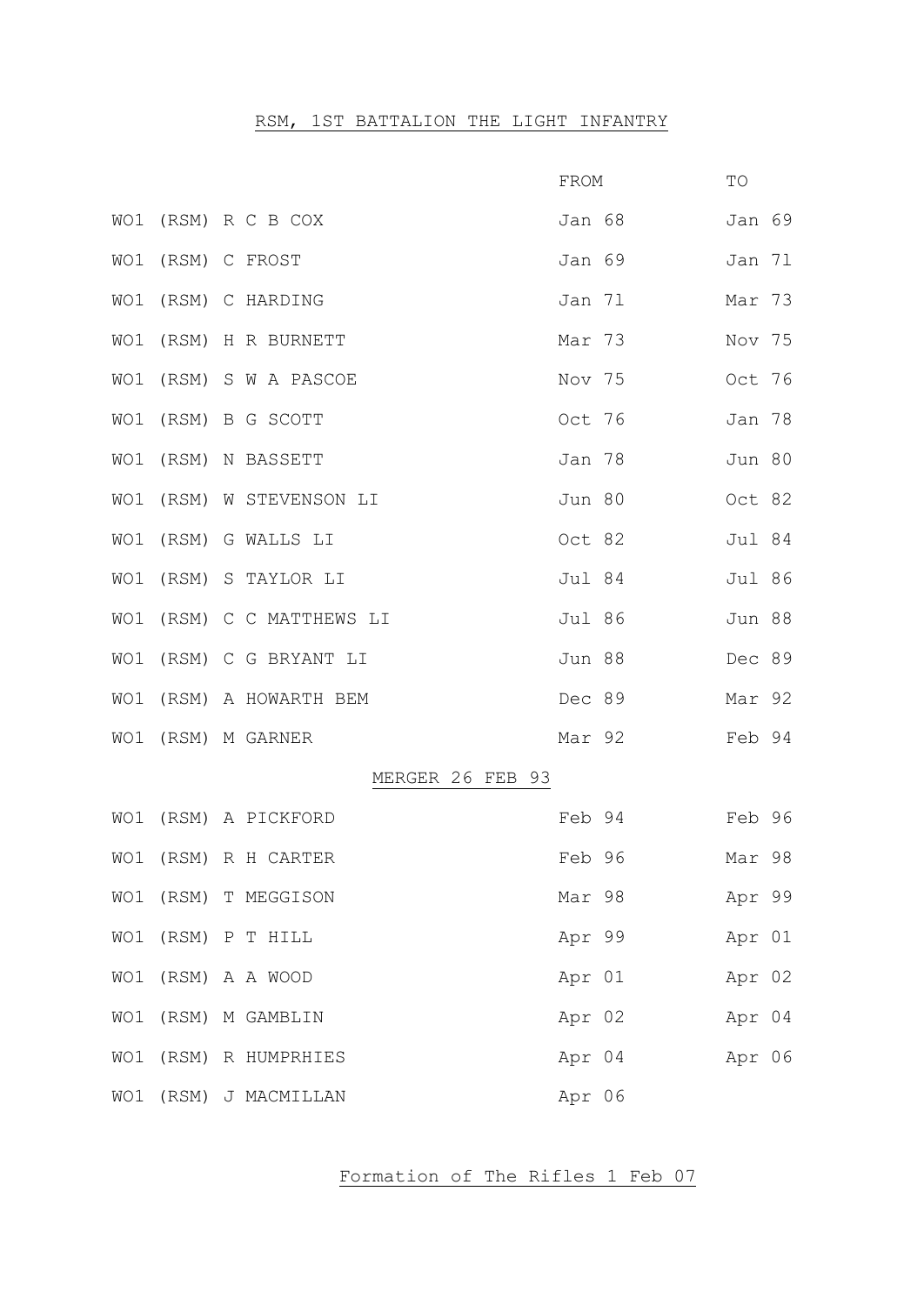# RSM, 1ST BATTALION THE LIGHT INFANTRY

|                   |                           | FROM   |        | TO     |  |
|-------------------|---------------------------|--------|--------|--------|--|
|                   | WO1 (RSM) R C B COX       |        | Jan 68 | Jan 69 |  |
| WO1 (RSM) C FROST |                           | Jan 69 |        | Jan 71 |  |
|                   | WO1 (RSM) C HARDING       | Jan 71 |        | Mar 73 |  |
|                   | WO1 (RSM) H R BURNETT     | Mar 73 |        | Nov 75 |  |
|                   | WO1 (RSM) S W A PASCOE    | Nov 75 |        | Oct 76 |  |
|                   | WO1 (RSM) B G SCOTT       | Oct 76 |        | Jan 78 |  |
|                   | WO1 (RSM) N BASSETT       |        | Jan 78 | Jun 80 |  |
|                   | WO1 (RSM) W STEVENSON LI  | Jun 80 |        | Oct 82 |  |
|                   | WO1 (RSM) G WALLS LI      | Oct 82 |        | Jul 84 |  |
|                   | WO1 (RSM) S TAYLOR LI     | Jul 84 |        | Jul 86 |  |
|                   | WO1 (RSM) C C MATTHEWS LI | Jul 86 |        | Jun 88 |  |
|                   | WO1 (RSM) C G BRYANT LI   | Jun 88 |        | Dec 89 |  |
|                   | WO1 (RSM) A HOWARTH BEM   | Dec 89 |        | Mar 92 |  |
|                   | WO1 (RSM) M GARNER        |        | Mar 92 | Feb 94 |  |
|                   | MERGER 26 FEB 93          |        |        |        |  |
|                   | WO1 (RSM) A PICKFORD      |        | Feb 94 | Feb 96 |  |
|                   | WO1 (RSM) R H CARTER      | Feb 96 |        | Mar 98 |  |
|                   | WO1 (RSM) T MEGGISON      |        | Mar 98 | Apr 99 |  |
|                   | WO1 (RSM) P T HILL        | Apr 99 |        | Apr 01 |  |
|                   | WO1 (RSM) A A WOOD        | Apr 01 |        | Apr 02 |  |
|                   | WO1 (RSM) M GAMBLIN       | Apr 02 |        | Apr 04 |  |
|                   | WO1 (RSM) R HUMPRHIES     | Apr 04 |        | Apr 06 |  |
|                   | WO1 (RSM) J MACMILLAN     | Apr 06 |        |        |  |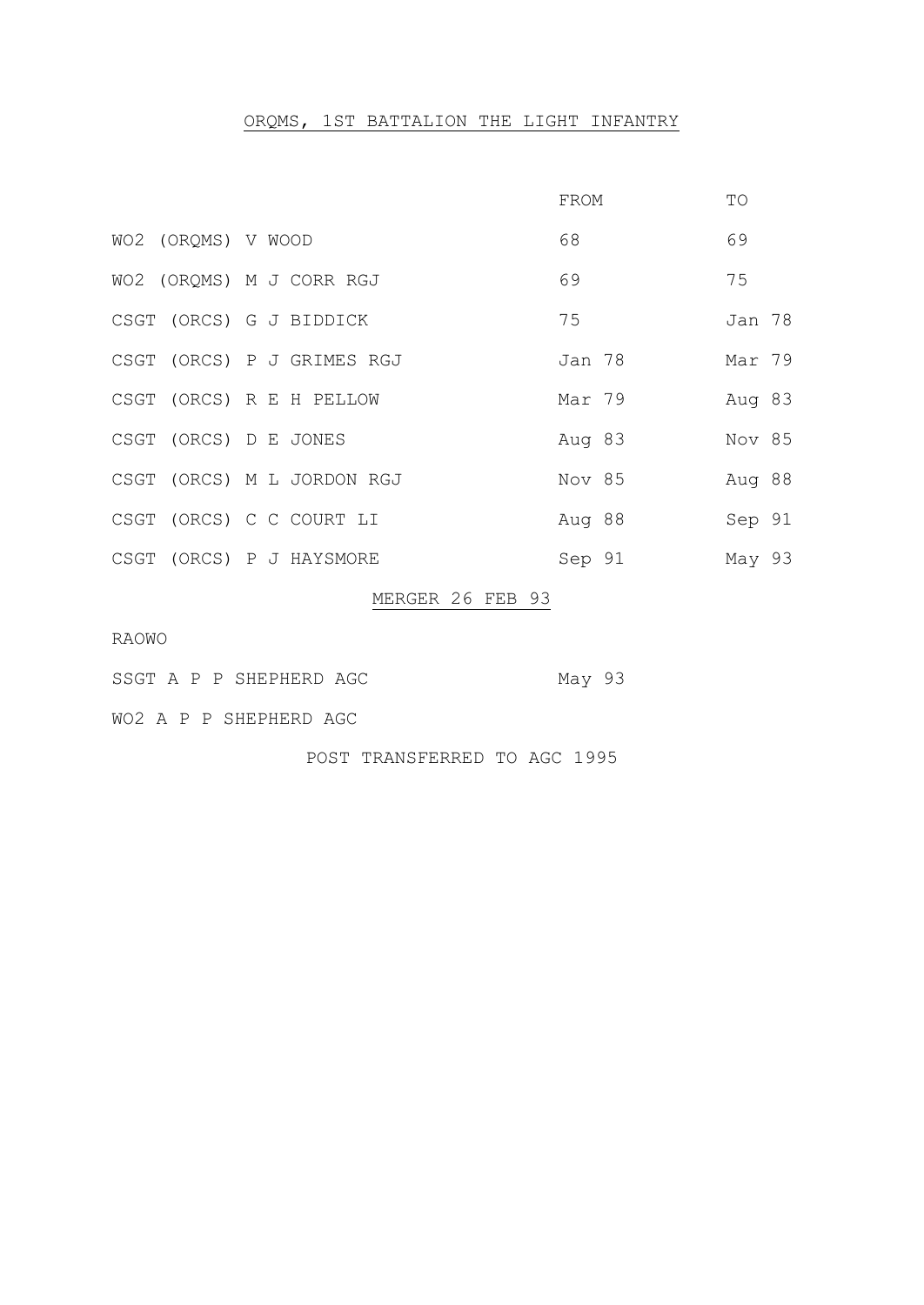# ORQMS, 1ST BATTALION THE LIGHT INFANTRY

|  |                            | FROM   | TО     |
|--|----------------------------|--------|--------|
|  | WO2 (ORQMS) V WOOD         | 68     | 69     |
|  | WO2 (ORQMS) M J CORR RGJ   | 69     | 75     |
|  | CSGT (ORCS) G J BIDDICK    | 75     | Jan 78 |
|  | CSGT (ORCS) P J GRIMES RGJ | Jan 78 | Mar 79 |
|  | CSGT (ORCS) R E H PELLOW   | Mar 79 | Aug 83 |
|  | CSGT (ORCS) D E JONES      | Aug 83 | Nov 85 |
|  | CSGT (ORCS) M L JORDON RGJ | Nov 85 | Aug 88 |
|  | CSGT (ORCS) C C COURT LI   | Aug 88 | Sep 91 |
|  | CSGT (ORCS) P J HAYSMORE   | Sep 91 | May 93 |

#### MERGER 26 FEB 93

RAOWO

- SSGT A P P SHEPHERD AGC May 93
- WO2 A P P SHEPHERD AGC

POST TRANSFERRED TO AGC 1995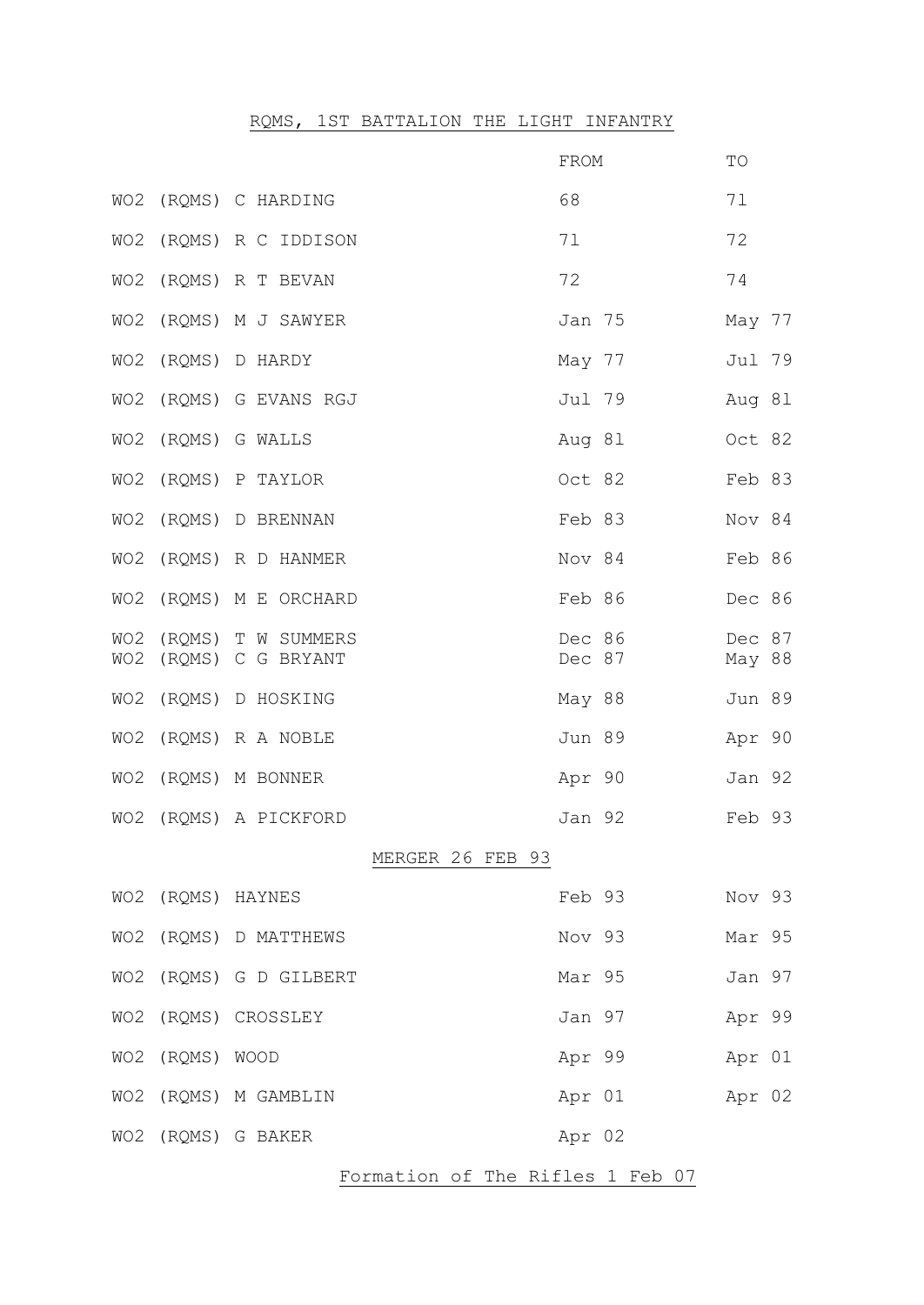# RQMS, 1ST BATTALION THE LIGHT INFANTRY

|                 |                                                 | FROM             | TO               |
|-----------------|-------------------------------------------------|------------------|------------------|
|                 | WO2 (ROMS) C HARDING                            | 68               | 71               |
|                 | WO2 (RQMS) R C IDDISON                          | 71               | 72               |
|                 | WO2 (RQMS) R T BEVAN                            | 72               | 74               |
|                 | WO2 (ROMS) M J SAWYER                           | Jan 75           | May 77           |
|                 | WO2 (RQMS) D HARDY                              | May 77           | Jul 79           |
|                 | WO2 (RQMS) G EVANS RGJ                          | Jul 79           | Aug 81           |
|                 | WO2 (RQMS) G WALLS                              | Aug 81           | Oct 82           |
|                 | WO2 (RQMS) P TAYLOR                             | Oct 82           | Feb 83           |
|                 | WO2 (RQMS) D BRENNAN                            | Feb 83           | Nov 84           |
|                 | WO2 (ROMS) R D HANMER                           | Nov 84           | Feb 86           |
|                 | WO2 (RQMS) M E ORCHARD                          | Feb 86           | Dec 86           |
|                 | WO2 (RQMS) T W SUMMERS<br>WO2 (RQMS) C G BRYANT | Dec 86<br>Dec 87 | Dec 87<br>May 88 |
|                 | WO2 (RQMS) D HOSKING                            | May 88           | Jun 89           |
|                 | WO2 (RQMS) R A NOBLE                            | Jun 89           | Apr 90           |
|                 | WO2 (RQMS) M BONNER                             | Apr 90           | Jan 92           |
|                 | WO2 (ROMS) A PICKFORD                           | Jan 92           | Feb 93           |
|                 | MERGER 26 FEB 93                                |                  |                  |
|                 | WO2 (RQMS) HAYNES                               | Feb 93           | Nov 93           |
|                 | WO2 (RQMS) D MATTHEWS                           | Nov 93           | Mar 95           |
|                 | WO2 (RQMS) G D GILBERT                          | Mar 95           | Jan 97           |
|                 | WO2 (RQMS) CROSSLEY                             | Jan 97           | Apr 99           |
| WO2 (RQMS) WOOD |                                                 | Apr 99           | Apr 01           |
|                 | WO2 (RQMS) M GAMBLIN                            | Apr 01 Apr 02    |                  |
|                 | WO2 (RQMS) G BAKER                              | Apr 02           |                  |